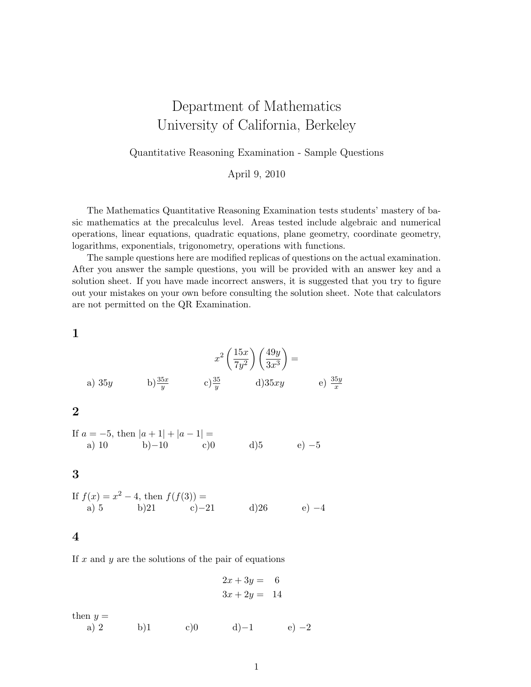# Department of Mathematics University of California, Berkeley

Quantitative Reasoning Examination - Sample Questions

April 9, 2010

The Mathematics Quantitative Reasoning Examination tests students' mastery of basic mathematics at the precalculus level. Areas tested include algebraic and numerical operations, linear equations, quadratic equations, plane geometry, coordinate geometry, logarithms, exponentials, trigonometry, operations with functions.

The sample questions here are modified replicas of questions on the actual examination. After you answer the sample questions, you will be provided with an answer key and a solution sheet. If you have made incorrect answers, it is suggested that you try to figure out your mistakes on your own before consulting the solution sheet. Note that calculators are not permitted on the QR Examination.

1

a) 35y  
b) 
$$
\frac{35x}{y}
$$

$$
x^2 \left(\frac{15x}{7y^2}\right) \left(\frac{49y}{3x^3}\right) =
$$
a) 35xy  
e) 
$$
\frac{35y}{x}
$$

2

If 
$$
a = -5
$$
, then  $|a + 1| + |a - 1| =$   
\na) 10 \t\t b) -10 \t\t c)0 \t\t d)5 \t\t e) -5

3

If 
$$
f(x) = x^2 - 4
$$
, then  $f(f(3)) =$   
\na) 5 b)21 c) -21 d)26 e) -4

4

If  $x$  and  $y$  are the solutions of the pair of equations

$$
2x + 3y = 6
$$
  

$$
3x + 2y = 14
$$

then  $y =$ a) 2 b)1 c)0 d)−1 e) −2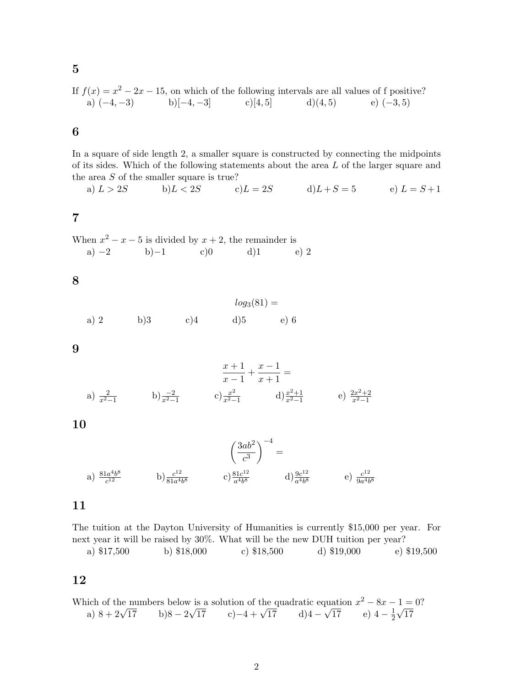If  $f(x) = x^2 - 2x - 15$ , on which of the following intervals are all values of f positive? a)  $(-4, -3)$  b)[-4, -3] c)[4, 5] d)(4, 5) e) (-3, 5)

6

5

In a square of side length 2, a smaller square is constructed by connecting the midpoints of its sides. Which of the following statements about the area L of the larger square and the area S of the smaller square is true?

a) 
$$
L > 2S
$$
 b)  $L < 2S$  c)  $L = 2S$  d)  $L + S = 5$  e)  $L = S + 1$ 

7

When  $x^2 - x - 5$  is divided by  $x + 2$ , the remainder is a) −2 b)−1 c)0 d)1 e) 2

8

$$
log_3(81) =
$$
  
a) 2 b)3 c)4 d)5 e) 6

9

$$
\frac{x+1}{x-1} + \frac{x-1}{x+1} =
$$
\na)  $\frac{2}{x^2-1}$ 

\nb)  $\frac{-2}{x^2-1}$ 

\nc)  $\frac{x^2}{x^2-1}$ 

\nd)  $\frac{x^2+1}{x^2-1}$ 

\ne)  $\frac{2x^2+2}{x^2-1}$ 

10

$$
\left(\frac{3ab^2}{c^3}\right)^{-4} =
$$
\na)  $\frac{81a^4b^8}{c^{12}}$  \t\t b)  $\frac{c^{12}}{81a^4b^8}$  \t\t c)  $\frac{81c^{12}}{a^4b^8}$  \t\t d)  $\frac{9c^{12}}{a^4b^8}$  \t\t e)  $\frac{c^{12}}{9a^4b^8}$ 

### 11

The tuition at the Dayton University of Humanities is currently \$15,000 per year. For next year it will be raised by 30%. What will be the new DUH tuition per year? a) \$17,500 b) \$18,000 c) \$18,500 d) \$19,000 e) \$19,500

12

Which of the numbers below is a solution of the quadratic equation  $x^2 - 8x - 1 = 0$ ? a)  $8 + 2\sqrt{17}$  b) $8 - 2\sqrt{17}$  c)-4 +  $\sqrt{17}$  d) $4 - \sqrt{17}$  e)  $4 - \frac{1}{2}$  $rac{1}{2}\sqrt{17}$